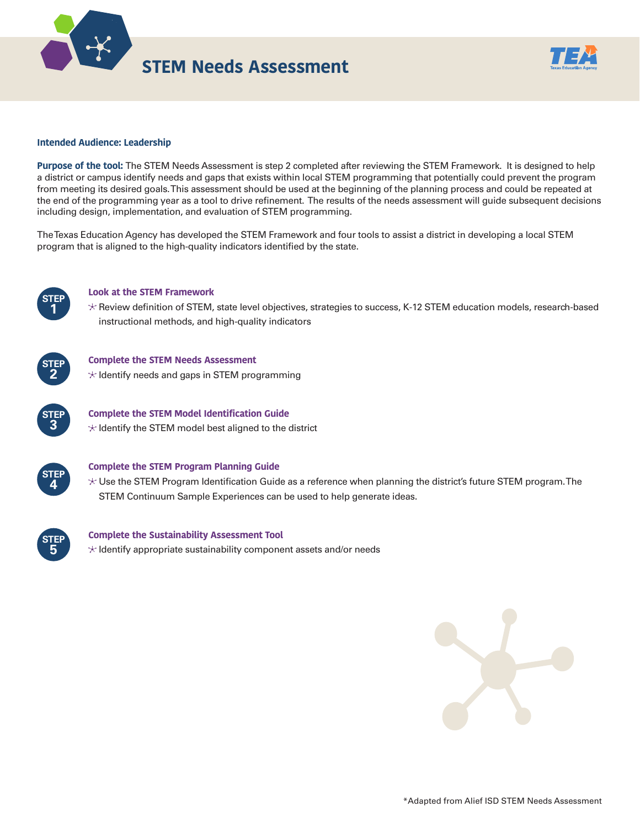



### **Intended Audience: Leadership**

**Purpose of the tool:** The STEM Needs Assessment is step 2 completed after reviewing the STEM Framework. It is designed to help a district or campus identify needs and gaps that exists within local STEM programming that potentially could prevent the program from meeting its desired goals. This assessment should be used at the beginning of the planning process and could be repeated at the end of the programming year as a tool to drive refinement. The results of the needs assessment will guide subsequent decisions including design, implementation, and evaluation of STEM programming.

The Texas Education Agency has developed the STEM Framework and four tools to assist a district in developing a local STEM program that is aligned to the high-quality indicators identified by the state.



#### **Look at the STEM Framework**

 Review definition of STEM, state level objectives, strategies to success, K-12 STEM education models, research-based instructional methods, and high-quality indicators



**Complete the STEM Needs Assessment**

 $\star$  Identify needs and gaps in STEM programming



### **Complete the STEM Model Identification Guide**  $*$  Identify the STEM model best aligned to the district



### **Complete the STEM Program Planning Guide**

 $\star$  Use the STEM Program Identification Guide as a reference when planning the district's future STEM program. The STEM Continuum Sample Experiences can be used to help generate ideas.



### **Complete the Sustainability Assessment Tool**  $*$  Identify appropriate sustainability component assets and/or needs

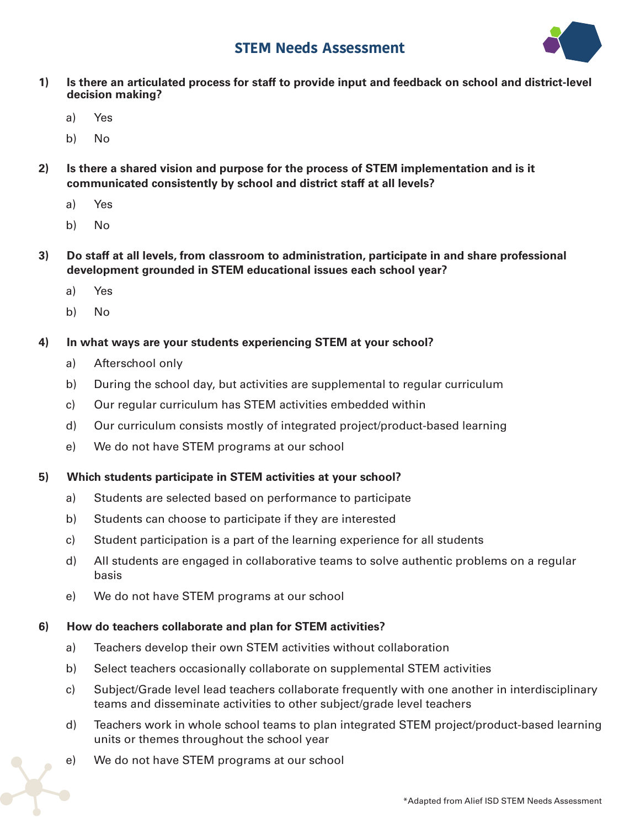# **STEM Needs Assessment**



- **1) Is there an articulated process for staff to provide input and feedback on school and district-level decision making?** 
	- a) Yes
	- b) No
- **2) Is there a shared vision and purpose for the process of STEM implementation and is it communicated consistently by school and district staff at all levels?** 
	- a) Yes
	- b) No
- **3) Do staff at all levels, from classroom to administration, participate in and share professional development grounded in STEM educational issues each school year?** 
	- a) Yes
	- b) No
- **4) In what ways are your students experiencing STEM at your school?** 
	- a) Afterschool only
	- b) During the school day, but activities are supplemental to regular curriculum
	- c) Our regular curriculum has STEM activities embedded within
	- d) Our curriculum consists mostly of integrated project/product-based learning
	- e) We do not have STEM programs at our school

## **5) Which students participate in STEM activities at your school?**

- a) Students are selected based on performance to participate
- b) Students can choose to participate if they are interested
- c) Student participation is a part of the learning experience for all students
- d) All students are engaged in collaborative teams to solve authentic problems on a regular basis
- e) We do not have STEM programs at our school

## **6) How do teachers collaborate and plan for STEM activities?**

- a) Teachers develop their own STEM activities without collaboration
- b) Select teachers occasionally collaborate on supplemental STEM activities
- c) Subject/Grade level lead teachers collaborate frequently with one another in interdisciplinary teams and disseminate activities to other subject/grade level teachers
- d) Teachers work in whole school teams to plan integrated STEM project/product-based learning units or themes throughout the school year
- e) We do not have STEM programs at our school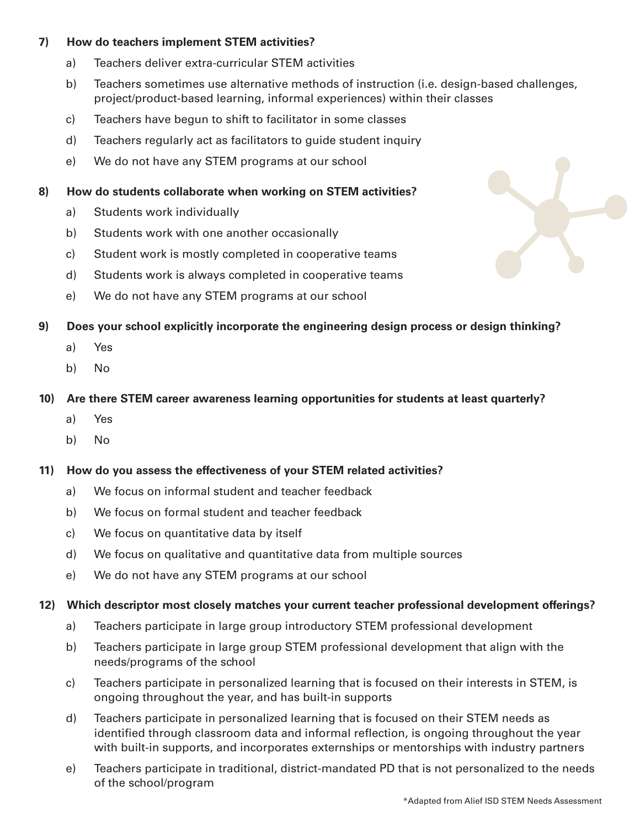## **7) How do teachers implement STEM activities?**

- a) Teachers deliver extra-curricular STEM activities
- b) Teachers sometimes use alternative methods of instruction (i.e. design-based challenges, project/product-based learning, informal experiences) within their classes
- c) Teachers have begun to shift to facilitator in some classes
- d) Teachers regularly act as facilitators to guide student inquiry
- e) We do not have any STEM programs at our school

## **8) How do students collaborate when working on STEM activities?**

- a) Students work individually
- b) Students work with one another occasionally
- c) Student work is mostly completed in cooperative teams
- d) Students work is always completed in cooperative teams
- e) We do not have any STEM programs at our school
- **9) Does your school explicitly incorporate the engineering design process or design thinking?** 
	- a) Yes
	- b) No
- **10) Are there STEM career awareness learning opportunities for students at least quarterly?** 
	- a) Yes
	- b) No

## **11) How do you assess the effectiveness of your STEM related activities?**

- a) We focus on informal student and teacher feedback
- b) We focus on formal student and teacher feedback
- c) We focus on quantitative data by itself
- d) We focus on qualitative and quantitative data from multiple sources
- e) We do not have any STEM programs at our school

## **12) Which descriptor most closely matches your current teacher professional development offerings?**

- a) Teachers participate in large group introductory STEM professional development
- b) Teachers participate in large group STEM professional development that align with the needs/programs of the school
- c) Teachers participate in personalized learning that is focused on their interests in STEM, is ongoing throughout the year, and has built-in supports
- d) Teachers participate in personalized learning that is focused on their STEM needs as identified through classroom data and informal reflection, is ongoing throughout the year with built-in supports, and incorporates externships or mentorships with industry partners
- e) Teachers participate in traditional, district-mandated PD that is not personalized to the needs of the school/program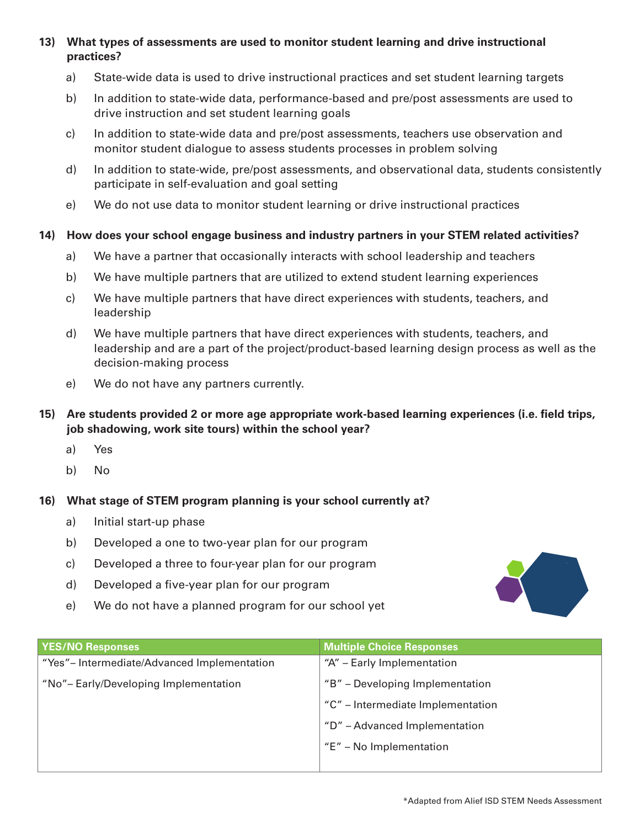**13) What types of assessments are used to monitor student learning and drive instructional practices?** 

- a) State-wide data is used to drive instructional practices and set student learning targets
- b) In addition to state-wide data, performance-based and pre/post assessments are used to drive instruction and set student learning goals
- c) In addition to state-wide data and pre/post assessments, teachers use observation and monitor student dialogue to assess students processes in problem solving
- d) In addition to state-wide, pre/post assessments, and observational data, students consistently participate in self-evaluation and goal setting
- e) We do not use data to monitor student learning or drive instructional practices

## **14) How does your school engage business and industry partners in your STEM related activities?**

- a) We have a partner that occasionally interacts with school leadership and teachers
- b) We have multiple partners that are utilized to extend student learning experiences
- c) We have multiple partners that have direct experiences with students, teachers, and leadership
- d) We have multiple partners that have direct experiences with students, teachers, and leadership and are a part of the project/product-based learning design process as well as the decision-making process
- e) We do not have any partners currently.
- **15) Are students provided 2 or more age appropriate work-based learning experiences (i.e. field trips, job shadowing, work site tours) within the school year?** 
	- a) Yes
	- b) No

## **16) What stage of STEM program planning is your school currently at?**

- a) Initial start-up phase
- b) Developed a one to two-year plan for our program
- c) Developed a three to four-year plan for our program
- d) Developed a five-year plan for our program
- e) We do not have a planned program for our school yet



| <b>YES/NO Responses</b>                    | <b>Multiple Choice Responses</b>  |  |
|--------------------------------------------|-----------------------------------|--|
| "Yes"-Intermediate/Advanced Implementation | "A" - Early Implementation        |  |
| "No"-Early/Developing Implementation       | "B" - Developing Implementation   |  |
|                                            | "C" – Intermediate Implementation |  |
|                                            | "D" - Advanced Implementation     |  |
|                                            | "E" - No Implementation           |  |
|                                            |                                   |  |